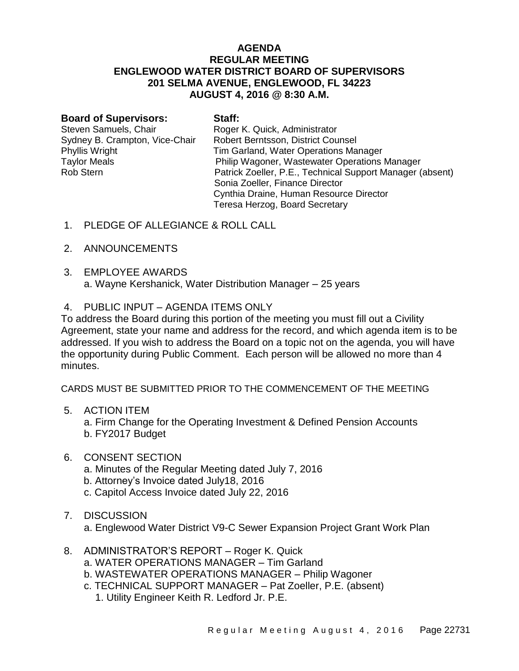## **AGENDA REGULAR MEETING ENGLEWOOD WATER DISTRICT BOARD OF SUPERVISORS 201 SELMA AVENUE, ENGLEWOOD, FL 34223 AUGUST 4, 2016 @ 8:30 A.M.**

| <b>Board of Supervisors:</b>   | Staff:                                                    |
|--------------------------------|-----------------------------------------------------------|
| Steven Samuels, Chair          | Roger K. Quick, Administrator                             |
| Sydney B. Crampton, Vice-Chair | Robert Berntsson, District Counsel                        |
| Phyllis Wright                 | Tim Garland, Water Operations Manager                     |
| <b>Taylor Meals</b>            | Philip Wagoner, Wastewater Operations Manager             |
| <b>Rob Stern</b>               | Patrick Zoeller, P.E., Technical Support Manager (absent) |
|                                | Sonia Zoeller, Finance Director                           |
|                                | Cynthia Draine, Human Resource Director                   |
|                                | Teresa Herzog, Board Secretary                            |
|                                |                                                           |

- 1. PLEDGE OF ALLEGIANCE & ROLL CALL
- 2. ANNOUNCEMENTS
- 3. EMPLOYEE AWARDS a. Wayne Kershanick, Water Distribution Manager – 25 years
- 4. PUBLIC INPUT AGENDA ITEMS ONLY

To address the Board during this portion of the meeting you must fill out a Civility Agreement, state your name and address for the record, and which agenda item is to be addressed. If you wish to address the Board on a topic not on the agenda, you will have the opportunity during Public Comment. Each person will be allowed no more than 4 minutes.

CARDS MUST BE SUBMITTED PRIOR TO THE COMMENCEMENT OF THE MEETING

5. ACTION ITEM

a. Firm Change for the Operating Investment & Defined Pension Accounts b. FY2017 Budget

- 6. CONSENT SECTION
	- a. Minutes of the Regular Meeting dated July 7, 2016
	- b. Attorney's Invoice dated July18, 2016
	- c. Capitol Access Invoice dated July 22, 2016
- 7. DISCUSSION

a. Englewood Water District V9-C Sewer Expansion Project Grant Work Plan

- 8. ADMINISTRATOR'S REPORT Roger K. Quick
	- a. WATER OPERATIONS MANAGER Tim Garland
	- b. WASTEWATER OPERATIONS MANAGER Philip Wagoner
	- c. TECHNICAL SUPPORT MANAGER Pat Zoeller, P.E. (absent)
		- 1. Utility Engineer Keith R. Ledford Jr. P.E.